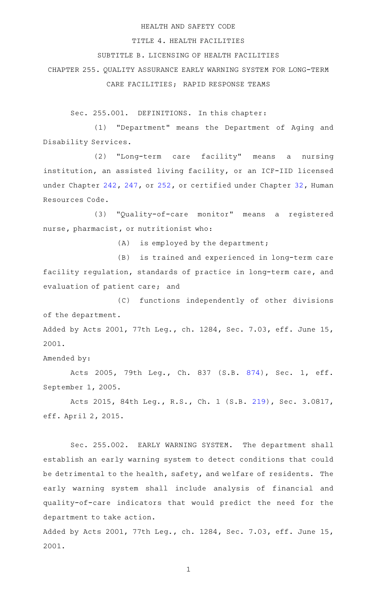#### HEALTH AND SAFETY CODE

#### TITLE 4. HEALTH FACILITIES

# SUBTITLE B. LICENSING OF HEALTH FACILITIES

CHAPTER 255. QUALITY ASSURANCE EARLY WARNING SYSTEM FOR LONG-TERM

CARE FACILITIES; RAPID RESPONSE TEAMS

Sec. 255.001. DEFINITIONS. In this chapter:

(1) "Department" means the Department of Aging and Disability Services.

(2) "Long-term care facility" means a nursing institution, an assisted living facility, or an ICF-IID licensed under Chapter [242](http://www.statutes.legis.state.tx.us/GetStatute.aspx?Code=HS&Value=242), [247,](http://www.statutes.legis.state.tx.us/GetStatute.aspx?Code=HS&Value=247) or [252](http://www.statutes.legis.state.tx.us/GetStatute.aspx?Code=HS&Value=252), or certified under Chapter [32,](http://www.statutes.legis.state.tx.us/GetStatute.aspx?Code=HR&Value=32) Human Resources Code.

(3) "Quality-of-care monitor" means a registered nurse, pharmacist, or nutritionist who:

 $(A)$  is employed by the department;

(B) is trained and experienced in long-term care facility regulation, standards of practice in long-term care, and evaluation of patient care; and

(C) functions independently of other divisions of the department. Added by Acts 2001, 77th Leg., ch. 1284, Sec. 7.03, eff. June 15, 2001.

Amended by:

Acts 2005, 79th Leg., Ch. 837 (S.B. [874\)](http://www.legis.state.tx.us/tlodocs/79R/billtext/html/SB00874F.HTM), Sec. 1, eff. September 1, 2005.

Acts 2015, 84th Leg., R.S., Ch. 1 (S.B. [219](http://www.legis.state.tx.us/tlodocs/84R/billtext/html/SB00219F.HTM)), Sec. 3.0817, eff. April 2, 2015.

Sec. 255.002. EARLY WARNING SYSTEM. The department shall establish an early warning system to detect conditions that could be detrimental to the health, safety, and welfare of residents. The early warning system shall include analysis of financial and quality-of-care indicators that would predict the need for the department to take action.

Added by Acts 2001, 77th Leg., ch. 1284, Sec. 7.03, eff. June 15, 2001.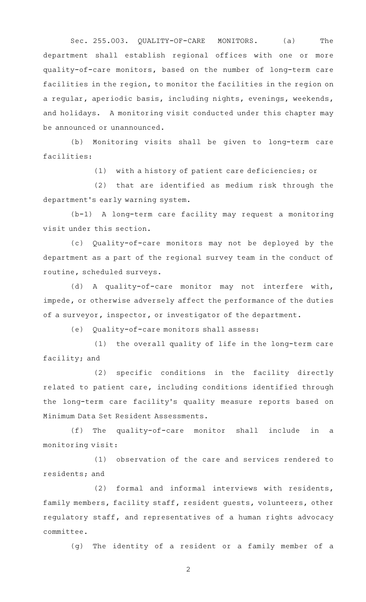Sec. 255.003. QUALITY-OF-CARE MONITORS. (a) The department shall establish regional offices with one or more quality-of-care monitors, based on the number of long-term care facilities in the region, to monitor the facilities in the region on a regular, aperiodic basis, including nights, evenings, weekends, and holidays. A monitoring visit conducted under this chapter may be announced or unannounced.

(b) Monitoring visits shall be given to long-term care facilities:

(1) with a history of patient care deficiencies; or

(2) that are identified as medium risk through the department 's early warning system.

(b-1) A long-term care facility may request a monitoring visit under this section.

(c) Quality-of-care monitors may not be deployed by the department as a part of the regional survey team in the conduct of routine, scheduled surveys.

(d) A quality-of-care monitor may not interfere with, impede, or otherwise adversely affect the performance of the duties of a surveyor, inspector, or investigator of the department.

(e) Quality-of-care monitors shall assess:

(1) the overall quality of life in the long-term care facility; and

 $(2)$  specific conditions in the facility directly related to patient care, including conditions identified through the long-term care facility's quality measure reports based on Minimum Data Set Resident Assessments.

 $(f)$  The quality-of-care monitor shall include in a monitoring visit:

(1) observation of the care and services rendered to residents; and

 $(2)$  formal and informal interviews with residents, family members, facility staff, resident guests, volunteers, other regulatory staff, and representatives of a human rights advocacy committee.

(g) The identity of a resident or a family member of a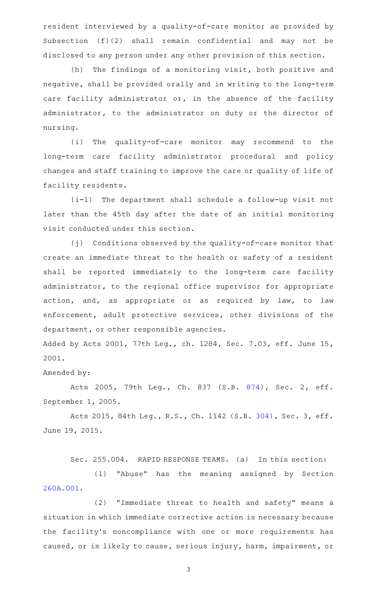resident interviewed by a quality-of-care monitor as provided by Subsection (f)(2) shall remain confidential and may not be disclosed to any person under any other provision of this section.

(h) The findings of a monitoring visit, both positive and negative, shall be provided orally and in writing to the long-term care facility administrator or, in the absence of the facility administrator, to the administrator on duty or the director of nursing.

(i) The quality-of-care monitor may recommend to the long-term care facility administrator procedural and policy changes and staff training to improve the care or quality of life of facility residents.

(i-1) The department shall schedule a follow-up visit not later than the 45th day after the date of an initial monitoring visit conducted under this section.

(j) Conditions observed by the quality-of-care monitor that create an immediate threat to the health or safety of a resident shall be reported immediately to the long-term care facility administrator, to the regional office supervisor for appropriate action, and, as appropriate or as required by law, to law enforcement, adult protective services, other divisions of the department, or other responsible agencies.

Added by Acts 2001, 77th Leg., ch. 1284, Sec. 7.03, eff. June 15, 2001.

## Amended by:

Acts 2005, 79th Leg., Ch. 837 (S.B. [874\)](http://www.legis.state.tx.us/tlodocs/79R/billtext/html/SB00874F.HTM), Sec. 2, eff. September 1, 2005.

Acts 2015, 84th Leg., R.S., Ch. 1142 (S.B. [304](http://www.legis.state.tx.us/tlodocs/84R/billtext/html/SB00304F.HTM)), Sec. 3, eff. June 19, 2015.

Sec. 255.004. RAPID RESPONSE TEAMS. (a) In this section:

(1) "Abuse" has the meaning assigned by Section [260A.001](http://www.statutes.legis.state.tx.us/GetStatute.aspx?Code=HS&Value=260A.001).

(2) "Immediate threat to health and safety" means a situation in which immediate corrective action is necessary because the facility's noncompliance with one or more requirements has caused, or is likely to cause, serious injury, harm, impairment, or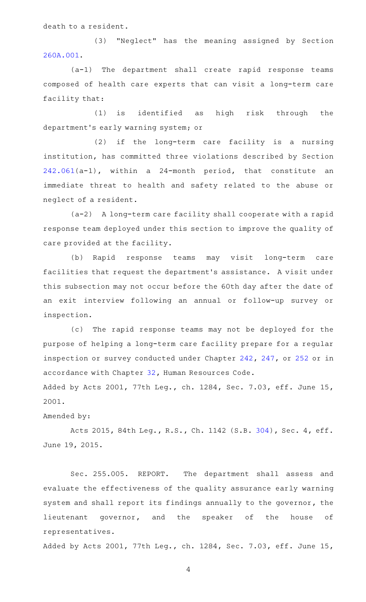death to a resident.

(3) "Neglect" has the meaning assigned by Section [260A.001](http://www.statutes.legis.state.tx.us/GetStatute.aspx?Code=HS&Value=260A.001).

 $(a-1)$  The department shall create rapid response teams composed of health care experts that can visit a long-term care facility that:

(1) is identified as high risk through the department 's early warning system; or

 $(2)$  if the long-term care facility is a nursing institution, has committed three violations described by Section [242.061\(](http://www.statutes.legis.state.tx.us/GetStatute.aspx?Code=HS&Value=242.061)a-1), within a 24-month period, that constitute an immediate threat to health and safety related to the abuse or neglect of a resident.

(a-2) A long-term care facility shall cooperate with a rapid response team deployed under this section to improve the quality of care provided at the facility.

(b) Rapid response teams may visit long-term care facilities that request the department 's assistance. A visit under this subsection may not occur before the 60th day after the date of an exit interview following an annual or follow-up survey or inspection.

(c) The rapid response teams may not be deployed for the purpose of helping a long-term care facility prepare for a regular inspection or survey conducted under Chapter [242,](http://www.statutes.legis.state.tx.us/GetStatute.aspx?Code=HS&Value=242) [247](http://www.statutes.legis.state.tx.us/GetStatute.aspx?Code=HS&Value=247), or [252](http://www.statutes.legis.state.tx.us/GetStatute.aspx?Code=HS&Value=252) or in accordance with Chapter [32,](http://www.statutes.legis.state.tx.us/GetStatute.aspx?Code=HR&Value=32) Human Resources Code.

Added by Acts 2001, 77th Leg., ch. 1284, Sec. 7.03, eff. June 15, 2001.

# Amended by:

Acts 2015, 84th Leg., R.S., Ch. 1142 (S.B. [304](http://www.legis.state.tx.us/tlodocs/84R/billtext/html/SB00304F.HTM)), Sec. 4, eff. June 19, 2015.

Sec. 255.005. REPORT. The department shall assess and evaluate the effectiveness of the quality assurance early warning system and shall report its findings annually to the governor, the lieutenant governor, and the speaker of the house of representatives.

Added by Acts 2001, 77th Leg., ch. 1284, Sec. 7.03, eff. June 15,